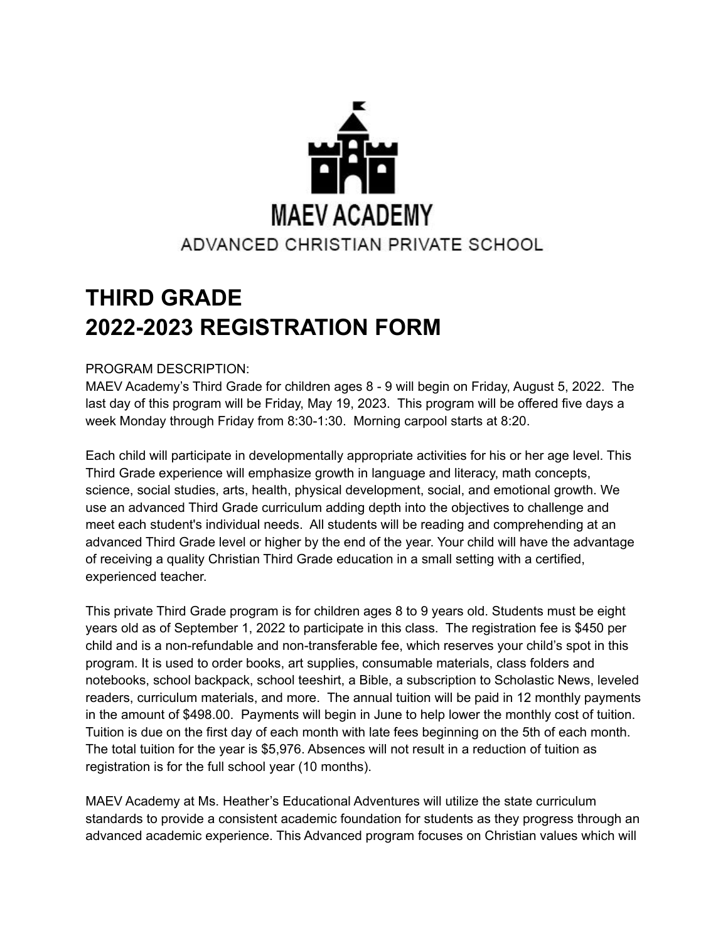

## **THIRD GRADE 2022-2023 REGISTRATION FORM**

## PROGRAM DESCRIPTION:

MAEV Academy's Third Grade for children ages 8 - 9 will begin on Friday, August 5, 2022. The last day of this program will be Friday, May 19, 2023. This program will be offered five days a week Monday through Friday from 8:30-1:30. Morning carpool starts at 8:20.

Each child will participate in developmentally appropriate activities for his or her age level. This Third Grade experience will emphasize growth in language and literacy, math concepts, science, social studies, arts, health, physical development, social, and emotional growth. We use an advanced Third Grade curriculum adding depth into the objectives to challenge and meet each student's individual needs. All students will be reading and comprehending at an advanced Third Grade level or higher by the end of the year. Your child will have the advantage of receiving a quality Christian Third Grade education in a small setting with a certified, experienced teacher.

This private Third Grade program is for children ages 8 to 9 years old. Students must be eight years old as of September 1, 2022 to participate in this class. The registration fee is \$450 per child and is a non-refundable and non-transferable fee, which reserves your child's spot in this program. It is used to order books, art supplies, consumable materials, class folders and notebooks, school backpack, school teeshirt, a Bible, a subscription to Scholastic News, leveled readers, curriculum materials, and more. The annual tuition will be paid in 12 monthly payments in the amount of \$498.00. Payments will begin in June to help lower the monthly cost of tuition. Tuition is due on the first day of each month with late fees beginning on the 5th of each month. The total tuition for the year is \$5,976. Absences will not result in a reduction of tuition as registration is for the full school year (10 months).

MAEV Academy at Ms. Heather's Educational Adventures will utilize the state curriculum standards to provide a consistent academic foundation for students as they progress through an advanced academic experience. This Advanced program focuses on Christian values which will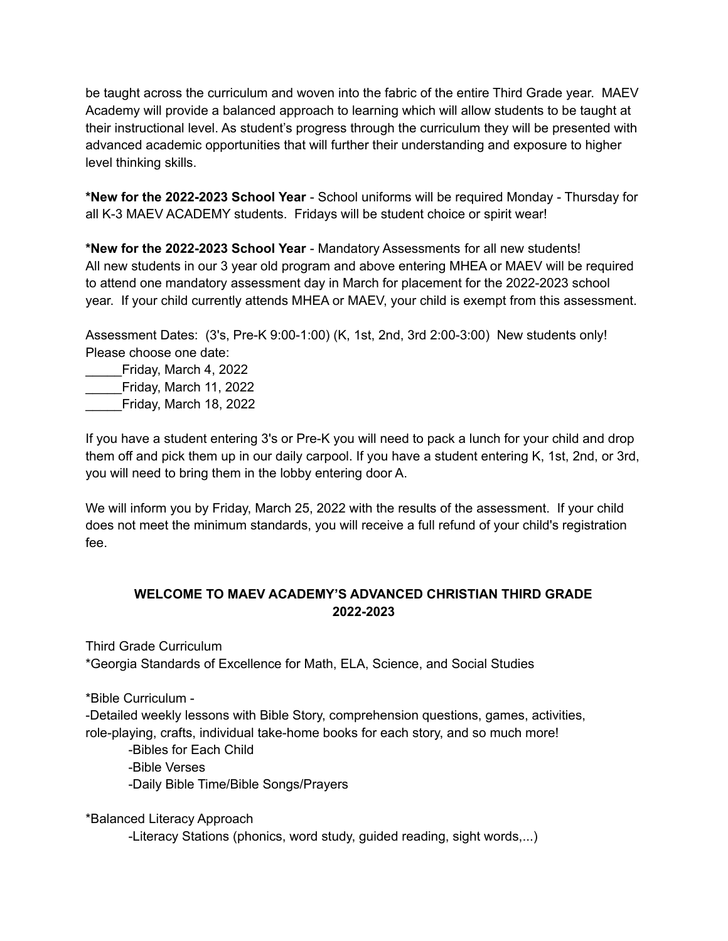be taught across the curriculum and woven into the fabric of the entire Third Grade year. MAEV Academy will provide a balanced approach to learning which will allow students to be taught at their instructional level. As student's progress through the curriculum they will be presented with advanced academic opportunities that will further their understanding and exposure to higher level thinking skills.

**\*New for the 2022-2023 School Year** - School uniforms will be required Monday - Thursday for all K-3 MAEV ACADEMY students. Fridays will be student choice or spirit wear!

**\*New for the 2022-2023 School Year** - Mandatory Assessments for all new students! All new students in our 3 year old program and above entering MHEA or MAEV will be required to attend one mandatory assessment day in March for placement for the 2022-2023 school year. If your child currently attends MHEA or MAEV, your child is exempt from this assessment.

Assessment Dates: (3's, Pre-K 9:00-1:00) (K, 1st, 2nd, 3rd 2:00-3:00) New students only! Please choose one date:

\_\_\_\_\_Friday, March 4, 2022 \_\_\_\_\_Friday, March 11, 2022 \_\_\_\_\_Friday, March 18, 2022

If you have a student entering 3's or Pre-K you will need to pack a lunch for your child and drop them off and pick them up in our daily carpool. If you have a student entering K, 1st, 2nd, or 3rd, you will need to bring them in the lobby entering door A.

We will inform you by Friday, March 25, 2022 with the results of the assessment. If your child does not meet the minimum standards, you will receive a full refund of your child's registration fee.

## **WELCOME TO MAEV ACADEMY'S ADVANCED CHRISTIAN THIRD GRADE 2022-2023**

Third Grade Curriculum

\*Georgia Standards of Excellence for Math, ELA, Science, and Social Studies

\*Bible Curriculum -

-Detailed weekly lessons with Bible Story, comprehension questions, games, activities, role-playing, crafts, individual take-home books for each story, and so much more!

-Bibles for Each Child -Bible Verses -Daily Bible Time/Bible Songs/Prayers

\*Balanced Literacy Approach

-Literacy Stations (phonics, word study, guided reading, sight words,...)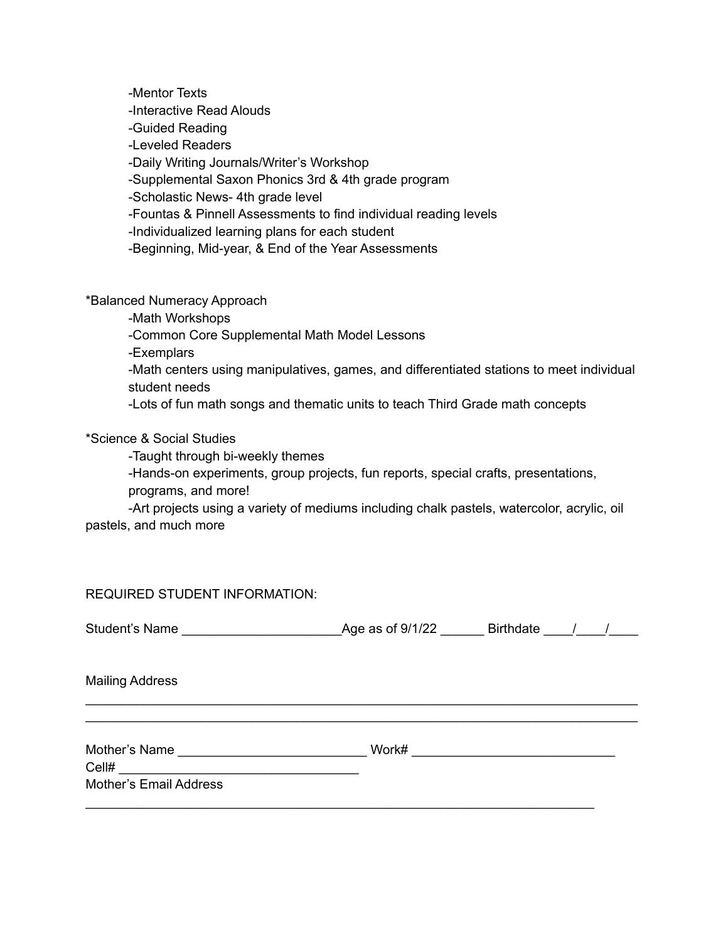-Mentor Texts -Interactive Read Alouds -Guided Reading -Leveled Readers -Daily Writing Journals/Writer's Workshop -Supplemental Saxon Phonics 3rd & 4th grade program -Scholastic News- 4th grade level -Fountas & Pinnell Assessments to find individual reading levels -Individualized learning plans for each student -Beginning, Mid-year, & End of the Year Assessments

\*Balanced Numeracy Approach

-Math Workshops

-Common Core Supplemental Math Model Lessons

-Exemplars

-Math centers using manipulatives, games, and differentiated stations to meet individual student needs

-Lots of fun math songs and thematic units to teach Third Grade math concepts

\*Science & Social Studies

-Taught through bi-weekly themes

-Hands-on experiments, group projects, fun reports, special crafts, presentations,

programs, and more!

-Art projects using a variety of mediums including chalk pastels, watercolor, acrylic, oil pastels, and much more

REQUIRED STUDENT INFORMATION:

| <b>Student's Name</b> | Age as of 9/1/22 | <b>Birthdate</b> |  |
|-----------------------|------------------|------------------|--|
|                       |                  |                  |  |

\_\_\_\_\_\_\_\_\_\_\_\_\_\_\_\_\_\_\_\_\_\_\_\_\_\_\_\_\_\_\_\_\_\_\_\_\_\_\_\_\_\_\_\_\_\_\_\_\_\_\_\_\_\_\_\_\_\_\_\_\_\_\_\_\_\_\_\_\_\_\_\_\_\_\_\_ \_\_\_\_\_\_\_\_\_\_\_\_\_\_\_\_\_\_\_\_\_\_\_\_\_\_\_\_\_\_\_\_\_\_\_\_\_\_\_\_\_\_\_\_\_\_\_\_\_\_\_\_\_\_\_\_\_\_\_\_\_\_\_\_\_\_\_\_\_\_\_\_\_\_\_\_

Mailing Address

Mother's Name \_\_\_\_\_\_\_\_\_\_\_\_\_\_\_\_\_\_\_\_\_\_\_\_\_\_ Work# \_\_\_\_\_\_\_\_\_\_\_\_\_\_\_\_\_\_\_\_\_\_\_\_\_\_\_\_

\_\_\_\_\_\_\_\_\_\_\_\_\_\_\_\_\_\_\_\_\_\_\_\_\_\_\_\_\_\_\_\_\_\_\_\_\_\_\_\_\_\_\_\_\_\_\_\_\_\_\_\_\_\_\_\_\_\_\_\_\_\_\_\_\_\_\_\_\_\_

Cell# \_\_\_\_\_\_\_\_\_\_\_\_\_\_\_\_\_\_\_\_\_\_\_\_\_\_\_\_\_\_\_\_\_

Mother's Email Address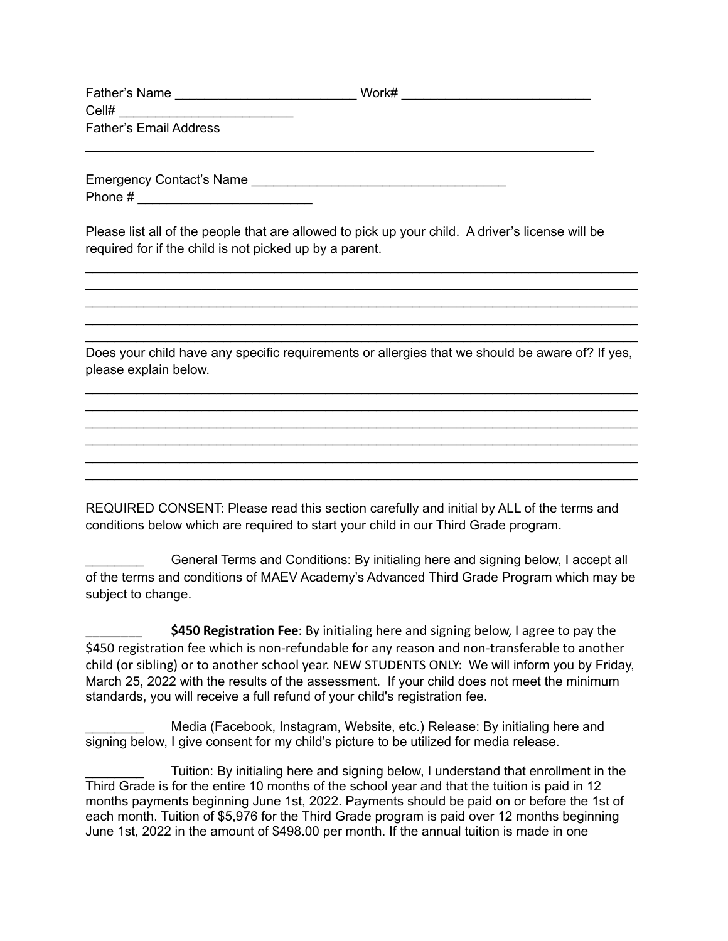| Father's Name                 | Work# |
|-------------------------------|-------|
| Cell#                         |       |
| <b>Father's Email Address</b> |       |

\_\_\_\_\_\_\_\_\_\_\_\_\_\_\_\_\_\_\_\_\_\_\_\_\_\_\_\_\_\_\_\_\_\_\_\_\_\_\_\_\_\_\_\_\_\_\_\_\_\_\_\_\_\_\_\_\_\_\_\_\_\_\_\_\_\_\_\_\_\_

Emergency Contact's Name \_\_\_\_\_\_\_\_\_\_\_\_\_\_\_\_\_\_\_\_\_\_\_\_\_\_\_\_\_\_\_\_\_\_\_ Phone #

Please list all of the people that are allowed to pick up your child. A driver's license will be required for if the child is not picked up by a parent.

Does your child have any specific requirements or allergies that we should be aware of? If yes, please explain below.

\_\_\_\_\_\_\_\_\_\_\_\_\_\_\_\_\_\_\_\_\_\_\_\_\_\_\_\_\_\_\_\_\_\_\_\_\_\_\_\_\_\_\_\_\_\_\_\_\_\_\_\_\_\_\_\_\_\_\_\_\_\_\_\_\_\_\_\_\_\_\_\_\_\_\_\_ \_\_\_\_\_\_\_\_\_\_\_\_\_\_\_\_\_\_\_\_\_\_\_\_\_\_\_\_\_\_\_\_\_\_\_\_\_\_\_\_\_\_\_\_\_\_\_\_\_\_\_\_\_\_\_\_\_\_\_\_\_\_\_\_\_\_\_\_\_\_\_\_\_\_\_\_ \_\_\_\_\_\_\_\_\_\_\_\_\_\_\_\_\_\_\_\_\_\_\_\_\_\_\_\_\_\_\_\_\_\_\_\_\_\_\_\_\_\_\_\_\_\_\_\_\_\_\_\_\_\_\_\_\_\_\_\_\_\_\_\_\_\_\_\_\_\_\_\_\_\_\_\_ \_\_\_\_\_\_\_\_\_\_\_\_\_\_\_\_\_\_\_\_\_\_\_\_\_\_\_\_\_\_\_\_\_\_\_\_\_\_\_\_\_\_\_\_\_\_\_\_\_\_\_\_\_\_\_\_\_\_\_\_\_\_\_\_\_\_\_\_\_\_\_\_\_\_\_\_ \_\_\_\_\_\_\_\_\_\_\_\_\_\_\_\_\_\_\_\_\_\_\_\_\_\_\_\_\_\_\_\_\_\_\_\_\_\_\_\_\_\_\_\_\_\_\_\_\_\_\_\_\_\_\_\_\_\_\_\_\_\_\_\_\_\_\_\_\_\_\_\_\_\_\_\_ \_\_\_\_\_\_\_\_\_\_\_\_\_\_\_\_\_\_\_\_\_\_\_\_\_\_\_\_\_\_\_\_\_\_\_\_\_\_\_\_\_\_\_\_\_\_\_\_\_\_\_\_\_\_\_\_\_\_\_\_\_\_\_\_\_\_\_\_\_\_\_\_\_\_\_\_

\_\_\_\_\_\_\_\_\_\_\_\_\_\_\_\_\_\_\_\_\_\_\_\_\_\_\_\_\_\_\_\_\_\_\_\_\_\_\_\_\_\_\_\_\_\_\_\_\_\_\_\_\_\_\_\_\_\_\_\_\_\_\_\_\_\_\_\_\_\_\_\_\_\_\_\_ \_\_\_\_\_\_\_\_\_\_\_\_\_\_\_\_\_\_\_\_\_\_\_\_\_\_\_\_\_\_\_\_\_\_\_\_\_\_\_\_\_\_\_\_\_\_\_\_\_\_\_\_\_\_\_\_\_\_\_\_\_\_\_\_\_\_\_\_\_\_\_\_\_\_\_\_ \_\_\_\_\_\_\_\_\_\_\_\_\_\_\_\_\_\_\_\_\_\_\_\_\_\_\_\_\_\_\_\_\_\_\_\_\_\_\_\_\_\_\_\_\_\_\_\_\_\_\_\_\_\_\_\_\_\_\_\_\_\_\_\_\_\_\_\_\_\_\_\_\_\_\_\_ \_\_\_\_\_\_\_\_\_\_\_\_\_\_\_\_\_\_\_\_\_\_\_\_\_\_\_\_\_\_\_\_\_\_\_\_\_\_\_\_\_\_\_\_\_\_\_\_\_\_\_\_\_\_\_\_\_\_\_\_\_\_\_\_\_\_\_\_\_\_\_\_\_\_\_\_ \_\_\_\_\_\_\_\_\_\_\_\_\_\_\_\_\_\_\_\_\_\_\_\_\_\_\_\_\_\_\_\_\_\_\_\_\_\_\_\_\_\_\_\_\_\_\_\_\_\_\_\_\_\_\_\_\_\_\_\_\_\_\_\_\_\_\_\_\_\_\_\_\_\_\_\_

REQUIRED CONSENT: Please read this section carefully and initial by ALL of the terms and conditions below which are required to start your child in our Third Grade program.

\_\_\_\_\_\_\_\_ General Terms and Conditions: By initialing here and signing below, I accept all of the terms and conditions of MAEV Academy's Advanced Third Grade Program which may be subject to change.

\_\_\_\_\_\_\_\_ **\$450 Registration Fee**: By initialing here and signing below, I agree to pay the \$450 registration fee which is non-refundable for any reason and non-transferable to another child (or sibling) or to another school year. NEW STUDENTS ONLY: We will inform you by Friday, March 25, 2022 with the results of the assessment. If your child does not meet the minimum standards, you will receive a full refund of your child's registration fee.

Media (Facebook, Instagram, Website, etc.) Release: By initialing here and signing below, I give consent for my child's picture to be utilized for media release.

Tuition: By initialing here and signing below, I understand that enrollment in the Third Grade is for the entire 10 months of the school year and that the tuition is paid in 12 months payments beginning June 1st, 2022. Payments should be paid on or before the 1st of each month. Tuition of \$5,976 for the Third Grade program is paid over 12 months beginning June 1st, 2022 in the amount of \$498.00 per month. If the annual tuition is made in one